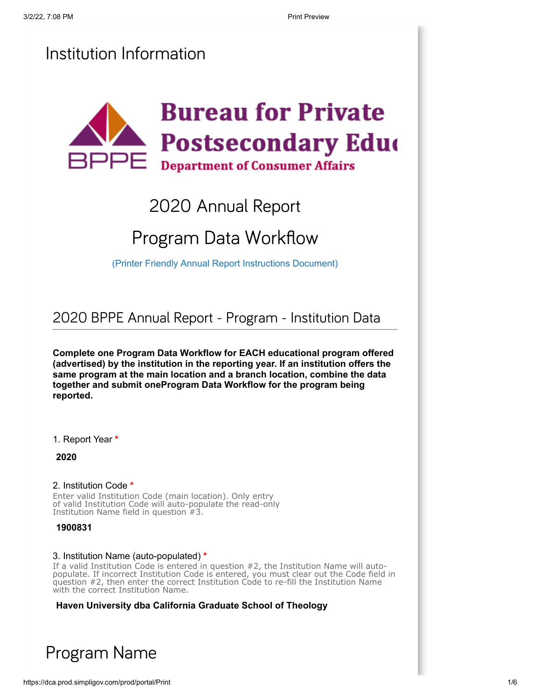## Institution Information



## 2020 Annual Report

# Program Data Workflow

[\(Printer Friendly Annual Report Instructions Document\)](https://www.bppe.ca.gov/annual_report/instructions.pdf)

2020 BPPE Annual Report - Program - Institution Data

**Complete one Program Data Workflow for EACH educational program offered (advertised) by the institution in the reporting year. If an institution offers the same program at the main location and a branch location, combine the data together and submit oneProgram Data Workflow for the program being reported.**

1. Report Year **\***

**2020**

#### 2. Institution Code **\***

Enter valid Institution Code (main location). Only entry of valid Institution Code will auto-populate the read-only Institution Name field in question #3.

**1900831**

#### 3. Institution Name (auto-populated) **\***

If a valid Institution Code is entered in question #2, the Institution Name will autopopulate. If incorrect Institution Code is entered, you must clear out the Code field in question #2, then enter the correct Institution Code to re-fill the Institution Name with the correct Institution Name.

**Haven University dba California Graduate School of Theology**

## Program Name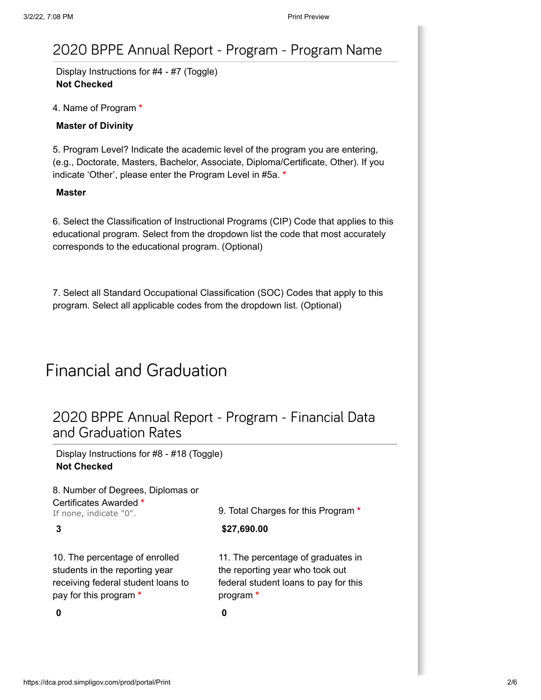### 2020 BPPE Annual Report - Program - Program Name

Display Instructions for #4 - #7 (Toggle) **Not Checked**

4. Name of Program **\***

**Master of Divinity**

5. Program Level? Indicate the academic level of the program you are entering, (e.g., Doctorate, Masters, Bachelor, Associate, Diploma/Certificate, Other). If you indicate 'Other', please enter the Program Level in #5a. **\***

#### **Master**

6. Select the Classification of Instructional Programs (CIP) Code that applies to this educational program. Select from the dropdown list the code that most accurately corresponds to the educational program. (Optional)

7. Select all Standard Occupational Classification (SOC) Codes that apply to this program. Select all applicable codes from the dropdown list. (Optional)

## Financial and Graduation

### 2020 BPPE Annual Report - Program - Financial Data and Graduation Rates

Display Instructions for #8 - #18 (Toggle) **Not Checked**

| 8. Number of Degrees, Diplomas or                                                                                                | 9. Total Charges for this Program *                                                                                         |  |
|----------------------------------------------------------------------------------------------------------------------------------|-----------------------------------------------------------------------------------------------------------------------------|--|
| Certificates Awarded *<br>If none, indicate "0".                                                                                 |                                                                                                                             |  |
| 3                                                                                                                                | \$27,690.00                                                                                                                 |  |
| 10. The percentage of enrolled<br>students in the reporting year<br>receiving federal student loans to<br>pay for this program * | 11. The percentage of graduates in<br>the reporting year who took out<br>federal student loans to pay for this<br>program * |  |
| 0                                                                                                                                | 0                                                                                                                           |  |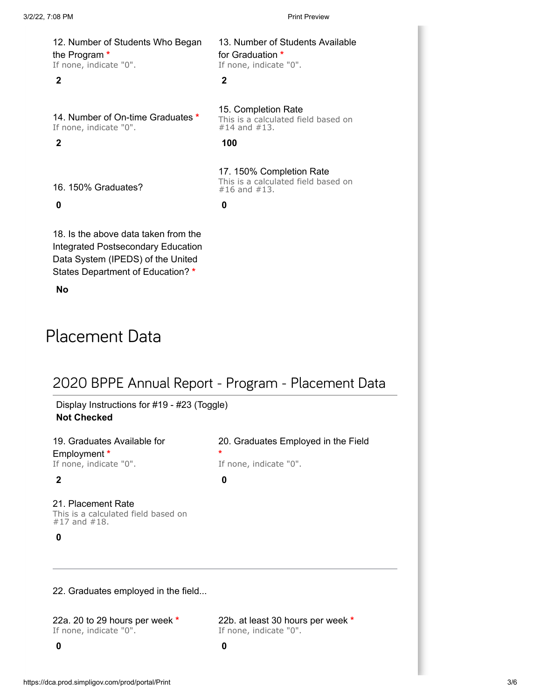13. Number of Students Available

for Graduation **\*** If none, indicate "0".

15. Completion Rate

#14 and #13.

12. Number of Students Who Began the Program **\*** If none, indicate "0".

#### **2 2**

14. Number of On-time Graduates **\*** If none, indicate "0".

**2 100**

17. 150% Completion Rate This is a calculated field based on #16 and #13.

This is a calculated field based on

16. 150% Graduates?

#### **0 0**

18. Is the above data taken from the Integrated Postsecondary Education Data System (IPEDS) of the United States Department of Education? **\***

**No**

## Placement Data

### 2020 BPPE Annual Report - Program - Placement Data

Display Instructions for #19 - #23 (Toggle) **Not Checked**

19. Graduates Available for Employment **\*** If none, indicate "0".

21. Placement Rate This is a calculated field based on #17 and #18.

**0**

22. Graduates employed in the field...

22a. 20 to 29 hours per week **\*** If none, indicate "0". If none, indicate "0".

**\*** If none, indicate "0". **2 0**

20. Graduates Employed in the Field

22b. at least 30 hours per week **\***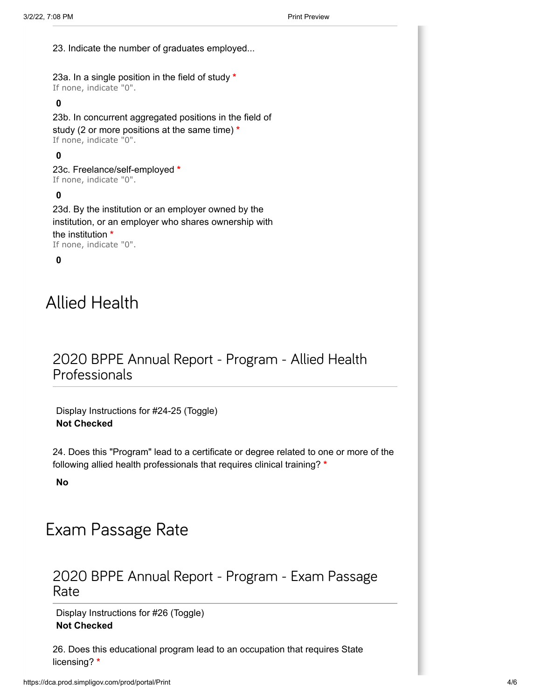23. Indicate the number of graduates employed...

23a. In a single position in the field of study **\*** If none, indicate "0".

### **0**

23b. In concurrent aggregated positions in the field of study (2 or more positions at the same time) **\*** If none, indicate "0".

### **0**

23c. Freelance/self-employed **\*** If none, indicate "0".

### **0**

23d. By the institution or an employer owned by the institution, or an employer who shares ownership with the institution **\*** If none, indicate "0".

### **0**

## Allied Health

### 2020 BPPE Annual Report - Program - Allied Health Professionals

Display Instructions for #24-25 (Toggle) **Not Checked**

24. Does this "Program" lead to a certificate or degree related to one or more of the following allied health professionals that requires clinical training? **\***

**No**

## Exam Passage Rate

### 2020 BPPE Annual Report - Program - Exam Passage Rate

Display Instructions for #26 (Toggle) **Not Checked**

26. Does this educational program lead to an occupation that requires State licensing? **\***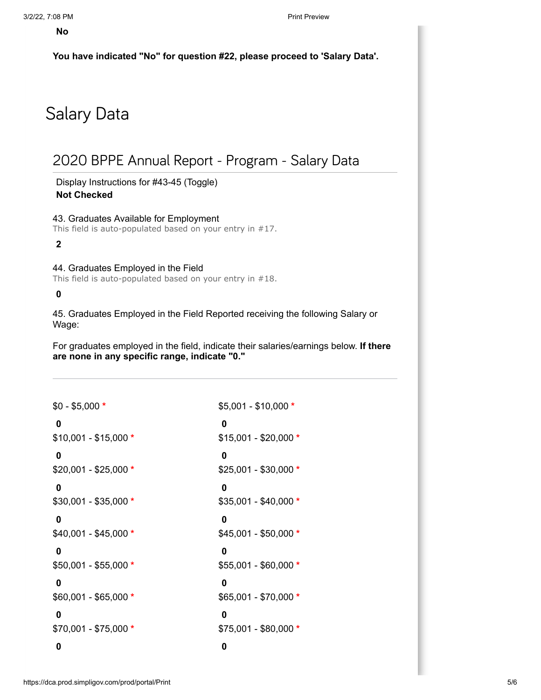**You have indicated "No" for question #22, please proceed to 'Salary Data'.**

## Salary Data

### 2020 BPPE Annual Report - Program - Salary Data

Display Instructions for #43-45 (Toggle) **Not Checked**

43. Graduates Available for Employment This field is auto-populated based on your entry in #17.

**2**

44. Graduates Employed in the Field

This field is auto-populated based on your entry in #18.

#### **0**

45. Graduates Employed in the Field Reported receiving the following Salary or Wage:

For graduates employed in the field, indicate their salaries/earnings below. **If there are none in any specific range, indicate "0."**

| $$0 - $5,000 *$       | $$5,001 - $10,000 *$  |
|-----------------------|-----------------------|
| 0                     | 0                     |
| $$10,001 - $15,000 *$ | $$15,001 - $20,000 *$ |
| 0                     | 0                     |
| $$20,001 - $25,000 *$ | $$25,001 - $30,000 *$ |
| 0                     | 0                     |
| $$30,001 - $35,000 *$ | $$35,001 - $40,000 *$ |
| 0                     | 0                     |
| $$40,001 - $45,000 *$ | $$45,001 - $50,000 *$ |
| 0                     | 0                     |
| $$50,001 - $55,000 *$ | $$55,001 - $60,000 *$ |
| 0                     | 0                     |
| $$60,001 - $65,000 *$ | $$65,001 - $70,000 *$ |
| 0                     | 0                     |
| $$70,001 - $75,000 *$ | $$75,001 - $80,000 *$ |
| 0                     | 0                     |